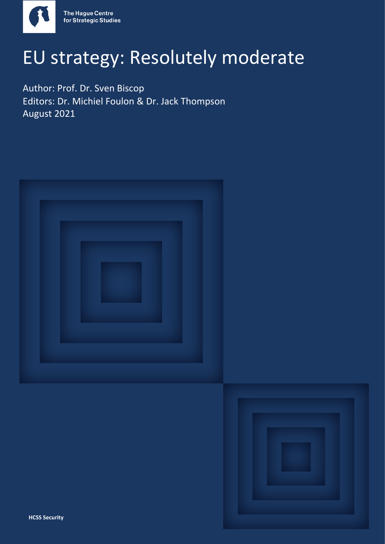

## EU strategy: Resolutely moderate

Author: Prof. Dr. Sven Biscop Editors: Dr. Michiel Foulon & Dr. Jack Thompson August 2021



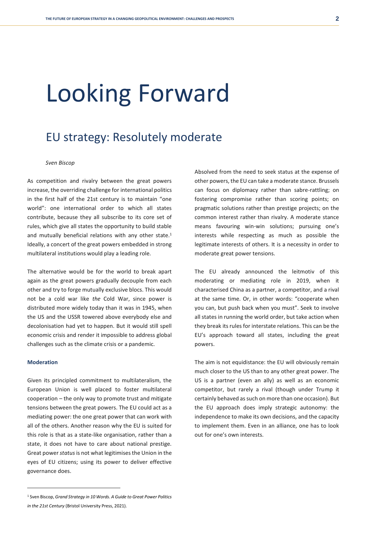# Looking Forward

### EU strategy: Resolutely moderate

#### *Sven Biscop*

As competition and rivalry between the great powers increase, the overriding challenge for international politics in the first half of the 21st century is to maintain "one world": one international order to which all states contribute, because they all subscribe to its core set of rules, which give all states the opportunity to build stable and mutually beneficial relations with any other state.<sup>1</sup> Ideally, a concert of the great powers embedded in strong multilateral institutions would play a leading role.

The alternative would be for the world to break apart again as the great powers gradually decouple from each other and try to forge mutually exclusive blocs. This would not be a cold war like *the* Cold War, since power is distributed more widely today than it was in 1945, when the US and the USSR towered above everybody else and decolonisation had yet to happen. But it would still spell economic crisis and render it impossible to address global challenges such as the climate crisis or a pandemic.

#### **Moderation**

Given its principled commitment to multilateralism, the European Union is well placed to foster multilateral cooperation – the only way to promote trust and mitigate tensions between the great powers. The EU could act as a mediating power: the one great power that can work with all of the others. Another reason why the EU is suited for this role is that as a state-like organisation, rather than a state, it does not have to care about national prestige. Great power *status*is not what legitimises the Union in the eyes of EU citizens; using its power to deliver effective governance does.

The EU already announced the leitmotiv of this moderating or mediating role in 2019, when it characterised China as a partner, a competitor, and a rival at the same time. Or, in other words: "cooperate when you can, but push back when you must". Seek to involve all states in running the world order, but take action when they break its rules for interstate relations. This can be the EU's approach toward all states, including the great powers.

The aim is not equidistance: the EU will obviously remain much closer to the US than to any other great power. The US is a partner (even an ally) as well as an economic competitor, but rarely a rival (though under Trump it certainly behaved as such on more than one occasion). But the EU approach does imply strategic autonomy: the independence to make its own decisions, and the capacity to implement them. Even in an alliance, one has to look out for one's own interests.

Absolved from the need to seek status at the expense of other powers, the EU can take a moderate stance. Brussels can focus on diplomacy rather than sabre-rattling; on fostering compromise rather than scoring points; on pragmatic solutions rather than prestige projects; on the common interest rather than rivalry. A moderate stance means favouring win-win solutions; pursuing one's interests while respecting as much as possible the legitimate interests of others. It is a necessity in order to moderate great power tensions.

<sup>1</sup> Sven Biscop, *Grand Strategy in 10 Words. A Guide to Great Power Politics in the 21st Century* (Bristol University Press, 2021).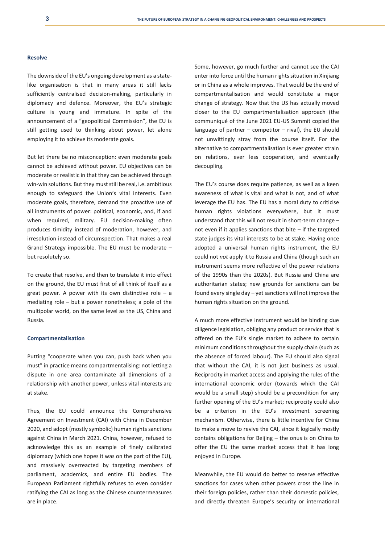#### **Resolve**

The downside of the EU's ongoing development as a statelike organisation is that in many areas it still lacks sufficiently centralised decision-making, particularly in diplomacy and defence. Moreover, the EU's strategic culture is young and immature. In spite of the announcement of a "geopolitical Commission", the EU is still getting used to thinking about power, let alone employing it to achieve its moderate goals.

But let there be no misconception: even moderate goals cannot be achieved without power. EU objectives can be moderate or realistic in that they can be achieved through win-win solutions. But they must still be real, i.e. ambitious enough to safeguard the Union's vital interests. Even moderate goals, therefore, demand the proactive use of all instruments of power: political, economic, and, if and when required, military. EU decision-making often produces timidity instead of moderation, however, and irresolution instead of circumspection. That makes a real Grand Strategy impossible. The EU must be moderate – but resolutely so.

To create that resolve, and then to translate it into effect on the ground, the EU must first of all think of itself as a great power. A power with its own distinctive role  $-$  a mediating role – but a power nonetheless; a pole of the multipolar world, on the same level as the US, China and Russia.

#### **Compartmentalisation**

Putting "cooperate when you can, push back when you must" in practice means compartmentalising: not letting a dispute in one area contaminate all dimensions of a relationship with another power, unless vital interests are at stake.

Thus, the EU could announce the Comprehensive Agreement on Investment (CAI) with China in December 2020, and adopt (mostly symbolic) human rights sanctions against China in March 2021. China, however, refused to acknowledge this as an example of finely calibrated diplomacy (which one hopes it was on the part of the EU), and massively overreacted by targeting members of parliament, academics, and entire EU bodies. The European Parliament rightfully refuses to even consider ratifying the CAI as long as the Chinese countermeasures are in place.

Some, however, go much further and cannot see the CAI enter into force until the human rights situation in Xinjiang or in China as a whole improves. That would be the end of compartmentalisation and would constitute a major change of strategy. Now that the US has actually moved closer to the EU compartmentalisation approach (the communiqué of the June 2021 EU-US Summit copied the language of partner  $-$  competitor  $-$  rival), the EU should not unwittingly stray from the course itself. For the alternative to compartmentalisation is ever greater strain on relations, ever less cooperation, and eventually decoupling.

The EU's course does require patience, as well as a keen awareness of what is vital and what is not, and of what leverage the EU has. The EU has a moral duty to criticise human rights violations everywhere, but it must understand that this will not result in short-term change – not even if it applies sanctions that bite – if the targeted state judges its vital interests to be at stake. Having once adopted a universal human rights instrument, the EU could not *not* apply it to Russia and China (though such an instrument seems more reflective of the power relations of the 1990s than the 2020s). But Russia and China are authoritarian states; new grounds for sanctions can be found every single day – yet sanctions will not improve the human rights situation on the ground.

A much more effective instrument would be binding due diligence legislation, obliging any product or service that is offered on the EU's single market to adhere to certain minimum conditions throughout the supply chain (such as the absence of forced labour). The EU should also signal that without the CAI, it is not just business as usual. Reciprocity in market access and applying the rules of the international economic order (towards which the CAI would be a small step) should be a precondition for any further opening of the EU's market; reciprocity could also be a criterion in the EU's investment screening mechanism. Otherwise, there is little incentive for China to make a move to revive the CAI, since it logically mostly contains obligations for Beijing – the onus is on China to offer the EU the same market access that it has long enjoyed in Europe.

Meanwhile, the EU would do better to reserve effective sanctions for cases when other powers cross the line in their foreign policies, rather than their domestic policies, and directly threaten Europe's security or international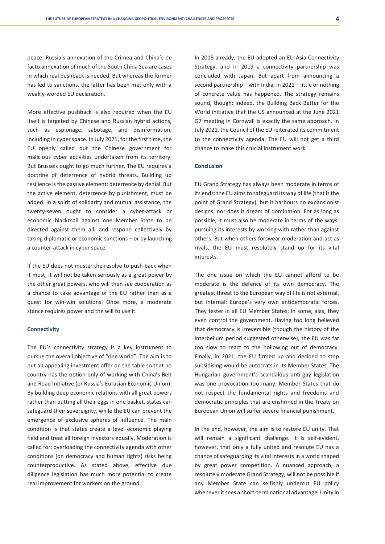peace. Russia's annexation of the Crimea and China's de facto annexation of much of the South China Sea are cases in which real pushback is needed. But whereas the former has led to sanctions, the latter has been met only with a weakly-worded EU declaration.

More effective pushback is also required when the EU itself is targeted by Chinese and Russian hybrid actions, such as espionage, sabotage, and disinformation, including in cyber space. In July 2021, for the first time, the EU openly called out the Chinese government for malicious cyber activities undertaken from its territory. But Brussels ought to go much further. The EU requires a doctrine of deterrence of hybrid threats. Building up resilience is the passive element: deterrence by denial. But the active element, deterrence by punishment, must be added. In a spirit of solidarity and mutual assistance, the twenty-seven ought to consider a cyber-attack or economic blackmail against one Member State to be directed against them all, and respond collectively by taking diplomatic or economic sanctions – or by launching a counter-attack in cyber space.

If the EU does not muster the resolve to push back when it must, it will not be taken seriously as a great power by the other great powers, who will then see cooperation as a chance to take advantage of the EU rather than as a quest for win-win solutions. Once more, a moderate stance requires power and the will to use it.

#### **Connectivity**

The EU's connectivity strategy is a key instrument to pursue the overall objective of "one world". The aim is to put an appealing investment offer on the table so that no country has the option only of working with China's Belt and Road Initiative (or Russia's Eurasian Economic Union). By building deep economic relations with all great powers rather than putting all their eggs in one basket, states can safeguard their sovereignty, while the EU can prevent the emergence of exclusive spheres of influence. The main condition is that states create a level economic playing field and treat all foreign investors equally. Moderation is called for: overloading the connectivity agenda with other conditions (on democracy and human rights) risks being counterproductive. As stated above, effective due diligence legislation has much more potential to create real improvement for workers on the ground.

In 2018 already, the EU adopted an EU-Asia Connectivity Strategy, and in 2019 a connectivity partnership was concluded with Japan. But apart from announcing a second partnership – with India, in 2021 – little or nothing of concrete value has happened. The strategy remains sound, though; indeed, the Building Back Better for the World initiative that the US announced at the June 2021 G7 meeting in Cornwall is exactly the same approach. In July 2021, the Council of the EU reiterated its commitment to the connectivity agenda. The EU will not get a third chance to make this crucial instrument work.

#### **Conclusion**

EU Grand Strategy has always been moderate in terms of its ends: the EU aims to safeguard its way of life (that is the point of Grand Strategy), but it harbours no expansionist designs, nor does it dream of domination. For as long as possible, it must also be moderate in terms of the ways: pursuing its interests by working with rather than against others. But when others forswear moderation and act as rivals, the EU must resolutely stand up for its vital interests.

The one issue on which the EU cannot afford to be moderate is the defence of its own democracy. The greatest threat to the European way of life is not external, but internal: Europe's very own antidemocratic forces. They fester in all EU Member States; in some, alas, they even control the government. Having too long believed that democracy is irreversible (though the history of the interbellum period suggested otherwise), the EU was far too slow to react to the hollowing out of democracy. Finally, in 2021, the EU firmed up and decided to stop subsidising would-be autocrats in its Member States. The Hungarian government's scandalous anti-gay legislation was one provocation too many. Member States that do not respect the fundamental rights and freedoms and democratic principles that are enshrined in the Treaty on European Union will suffer severe financial punishment.

In the end, however, the aim is to restore EU unity. That will remain a significant challenge. It is self-evident, however, that only a fully united and resolute EU has a chance of safeguarding its vital interests in a world shaped by great power competition. A nuanced approach, a resolutely moderate Grand Strategy, will not be possible if any Member State can selfishly undercut EU policy whenever it sees a short-term national advantage. Unity in